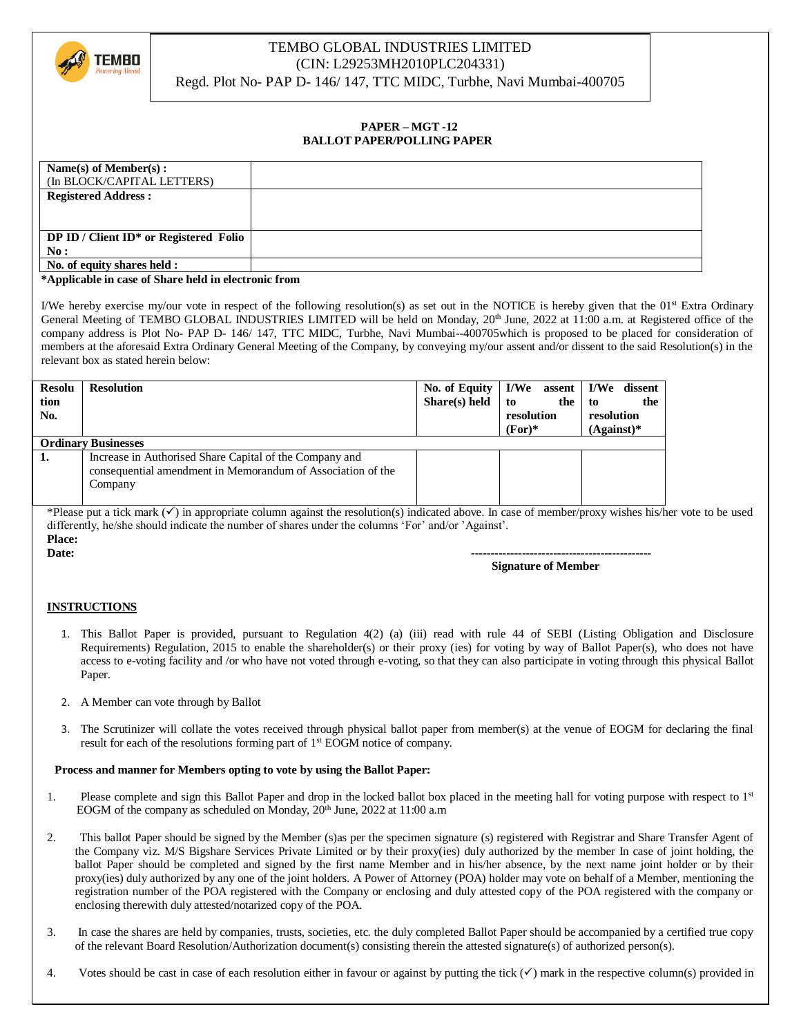

## TEMBO GLOBAL INDUSTRIES LIMITED (CIN: L29253MH2010PLC204331)

Regd. Plot No- PAP D- 146/ 147, TTC MIDC, Turbhe, Navi Mumbai-400705

## **PAPER – MGT -12 BALLOT PAPER/POLLING PAPER**

| Name $(s)$ of Member $(s)$ :           |  |
|----------------------------------------|--|
| (In BLOCK/CAPITAL LETTERS)             |  |
| <b>Registered Address:</b>             |  |
|                                        |  |
|                                        |  |
| DP ID / Client ID* or Registered Folio |  |
| No:                                    |  |
| No. of equity shares held :            |  |
| .<br>____                              |  |

#### **\*Applicable in case of Share held in electronic from**

I/We hereby exercise my/our vote in respect of the following resolution(s) as set out in the NOTICE is hereby given that the  $01^{st}$  Extra Ordinary General Meeting of TEMBO GLOBAL INDUSTRIES LIMITED will be held on Monday, 20<sup>th</sup> June, 2022 at 11:00 a.m. at Registered office of the company address is Plot No- PAP D- 146/ 147, TTC MIDC, Turbhe, Navi Mumbai--400705which is proposed to be placed for consideration of members at the aforesaid Extra Ordinary General Meeting of the Company, by conveying my/our assent and/or dissent to the said Resolution(s) in the relevant box as stated herein below:

| <b>Resolu</b><br>tion<br>No. | <b>Resolution</b>                                                                                                      | Share(s) held | No. of Equity   I/We assent   I/We dissent<br>the<br>to<br>resolution<br>$(For)^*$ | the<br>-to<br>resolution<br>$(A$ gainst $)*$ |  |
|------------------------------|------------------------------------------------------------------------------------------------------------------------|---------------|------------------------------------------------------------------------------------|----------------------------------------------|--|
| <b>Ordinary Businesses</b>   |                                                                                                                        |               |                                                                                    |                                              |  |
| 1.                           | Increase in Authorised Share Capital of the Company and<br>consequential amendment in Memorandum of Association of the |               |                                                                                    |                                              |  |
|                              | Company                                                                                                                |               |                                                                                    |                                              |  |

\*Please put a tick mark  $(\checkmark)$  in appropriate column against the resolution(s) indicated above. In case of member/proxy wishes his/her vote to be used differently, he/she should indicate the number of shares under the columns 'For' and/or 'Against'. **Place:**

**Date: ---------------------------------------------- Signature of Member**

### **INSTRUCTIONS**

- 1. This Ballot Paper is provided, pursuant to Regulation 4(2) (a) (iii) read with rule 44 of SEBI (Listing Obligation and Disclosure Requirements) Regulation, 2015 to enable the shareholder(s) or their proxy (ies) for voting by way of Ballot Paper(s), who does not have access to e-voting facility and /or who have not voted through e-voting, so that they can also participate in voting through this physical Ballot Paper.
- 2. A Member can vote through by Ballot
- 3. The Scrutinizer will collate the votes received through physical ballot paper from member(s) at the venue of EOGM for declaring the final result for each of the resolutions forming part of 1<sup>st</sup> EOGM notice of company.

### **Process and manner for Members opting to vote by using the Ballot Paper:**

- 1. Please complete and sign this Ballot Paper and drop in the locked ballot box placed in the meeting hall for voting purpose with respect to 1<sup>st</sup> EOGM of the company as scheduled on Monday, 20<sup>th</sup> June, 2022 at 11:00 a.m
- 2. This ballot Paper should be signed by the Member (s)as per the specimen signature (s) registered with Registrar and Share Transfer Agent of the Company viz. M/S Bigshare Services Private Limited or by their proxy(ies) duly authorized by the member In case of joint holding, the ballot Paper should be completed and signed by the first name Member and in his/her absence, by the next name joint holder or by their proxy(ies) duly authorized by any one of the joint holders. A Power of Attorney (POA) holder may vote on behalf of a Member, mentioning the registration number of the POA registered with the Company or enclosing and duly attested copy of the POA registered with the company or enclosing therewith duly attested/notarized copy of the POA.
- 3. In case the shares are held by companies, trusts, societies, etc. the duly completed Ballot Paper should be accompanied by a certified true copy of the relevant Board Resolution/Authorization document(s) consisting therein the attested signature(s) of authorized person(s).
- 4. Votes should be cast in case of each resolution either in favour or against by putting the tick  $(\checkmark)$  mark in the respective column(s) provided in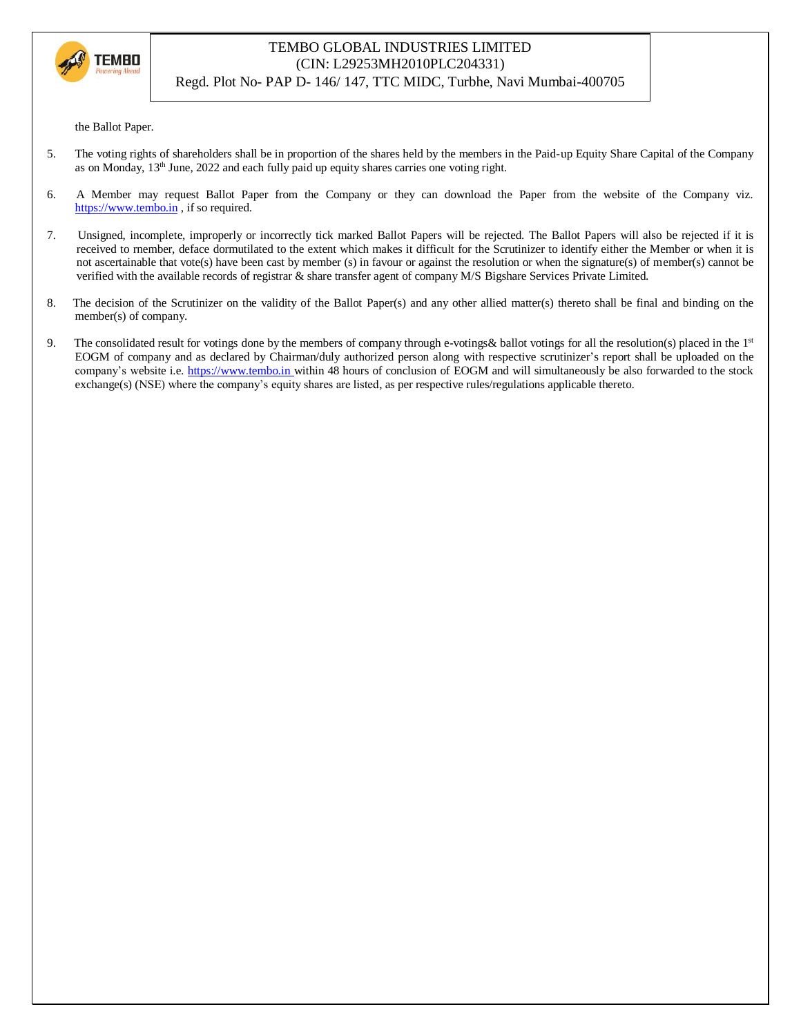

# TEMBO GLOBAL INDUSTRIES LIMITED (CIN: L29253MH2010PLC204331)

Regd. Plot No- PAP D- 146/ 147, TTC MIDC, Turbhe, Navi Mumbai-400705

the Ballot Paper.

- 5. The voting rights of shareholders shall be in proportion of the shares held by the members in the Paid-up Equity Share Capital of the Company as on Monday,  $13<sup>th</sup>$  June, 2022 and each fully paid up equity shares carries one voting right.
- 6. A Member may request Ballot Paper from the Company or they can download the Paper from the website of the Company viz. https://www.tembo.in , if so required.
- 7. Unsigned, incomplete, improperly or incorrectly tick marked Ballot Papers will be rejected. The Ballot Papers will also be rejected if it is received to rnember, deface dormutilated to the extent which makes it difficult for the Scrutinizer to identify either the Member or when it is not ascertainable that vote(s) have been cast by member (s) in favour or against the resolution or when the signature(s) of member(s) cannot be verified with the available records of registrar & share transfer agent of company M/S Bigshare Services Private Limited.
- 8. The decision of the Scrutinizer on the validity of the Ballot Paper(s) and any other allied matter(s) thereto shall be final and binding on the member(s) of company.
- 9. The consolidated result for votings done by the members of company through e-votings & ballot votings for all the resolution(s) placed in the 1st EOGM of company and as declared by Chairman/duly authorized person along with respective scrutinizer's report shall be uploaded on the company's website i.e. https://www.tembo.in within 48 hours of conclusion of EOGM and will simultaneously be also forwarded to the stock exchange(s) (NSE) where the company's equity shares are listed, as per respective rules/regulations applicable thereto.